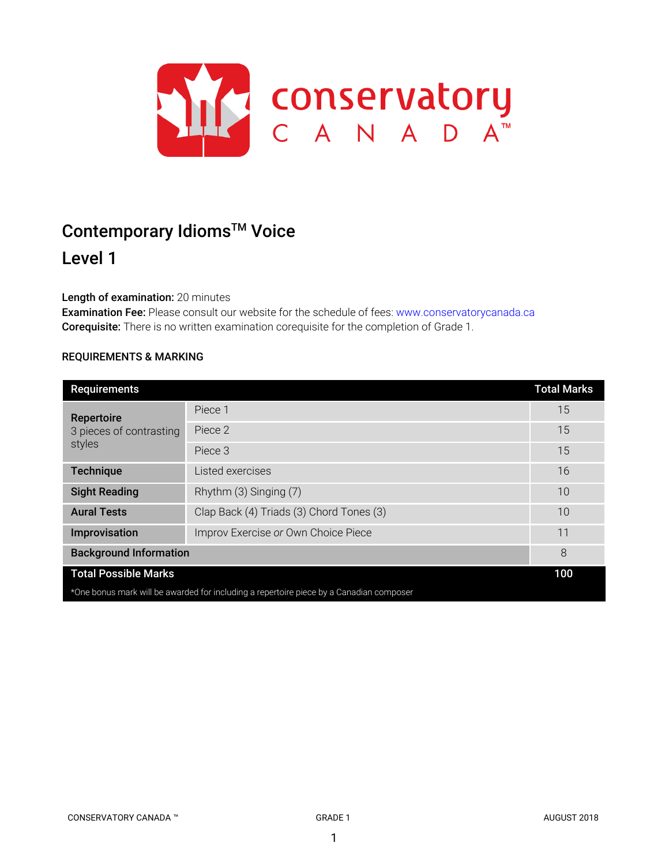

# Contemporary Idioms<sup>™</sup> Voice

# Level 1

# Length of examination: 20 minutes

Examination Fee: Please consult our website for the schedule of fees: www.conservatorycanada.ca Corequisite: There is no written examination corequisite for the completion of Grade 1.

# REQUIREMENTS & MARKING

| <b>Requirements</b>                                                                     |                                          | <b>Total Marks</b> |
|-----------------------------------------------------------------------------------------|------------------------------------------|--------------------|
| Repertoire<br>3 pieces of contrasting<br>styles                                         | Piece 1                                  | 15                 |
|                                                                                         | Piece 2                                  | 15                 |
|                                                                                         | Piece 3                                  | 15                 |
| Technique                                                                               | Listed exercises                         | 16                 |
| <b>Sight Reading</b>                                                                    | Rhythm (3) Singing (7)                   | 10                 |
| <b>Aural Tests</b>                                                                      | Clap Back (4) Triads (3) Chord Tones (3) | 10                 |
| Improvisation                                                                           | Improv Exercise or Own Choice Piece      | 11                 |
| <b>Background Information</b>                                                           |                                          | 8                  |
| <b>Total Possible Marks</b>                                                             |                                          | 100                |
| *One bonus mark will be awarded for including a repertoire piece by a Canadian composer |                                          |                    |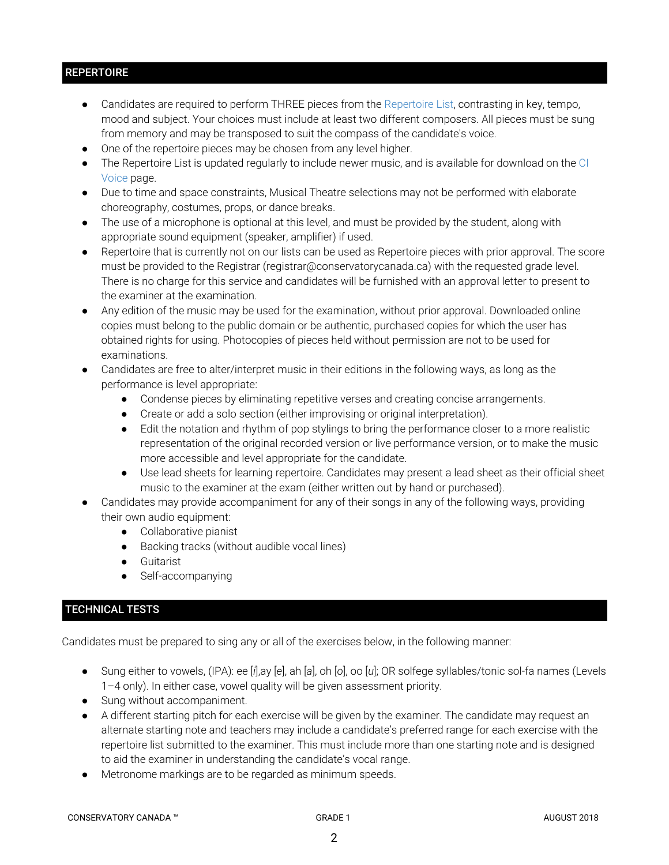# **REPERTOIRE**

- Candidates are required to perform THREE pieces from the Repertoire List, contrasting in key, tempo, mood and subject. Your choices must include at least two different composers. All pieces must be sung from memory and may be transposed to suit the compass of the candidate's voice.
- One of the repertoire pieces may be chosen from any level higher.
- The Repertoire List is updated regularly to include newer music, and is available for download on the CI Voice page.
- Due to time and space constraints, Musical Theatre selections may not be performed with elaborate choreography, costumes, props, or dance breaks.
- The use of a microphone is optional at this level, and must be provided by the student, along with appropriate sound equipment (speaker, amplifier) if used.
- Repertoire that is currently not on our lists can be used as Repertoire pieces with prior approval. The score must be provided to the Registrar (registrar@conservatorycanada.ca) with the requested grade level. There is no charge for this service and candidates will be furnished with an approval letter to present to the examiner at the examination.
- Any edition of the music may be used for the examination, without prior approval. Downloaded online copies must belong to the public domain or be authentic, purchased copies for which the user has obtained rights for using. Photocopies of pieces held without permission are not to be used for examinations.
- Candidates are free to alter/interpret music in their editions in the following ways, as long as the performance is level appropriate:
	- Condense pieces by eliminating repetitive verses and creating concise arrangements.
	- Create or add a solo section (either improvising or original interpretation).
	- Edit the notation and rhythm of pop stylings to bring the performance closer to a more realistic representation of the original recorded version or live performance version, or to make the music more accessible and level appropriate for the candidate.
	- Use lead sheets for learning repertoire. Candidates may present a lead sheet as their official sheet music to the examiner at the exam (either written out by hand or purchased).
- Candidates may provide accompaniment for any of their songs in any of the following ways, providing their own audio equipment:
	- Collaborative pianist
	- Backing tracks (without audible vocal lines)
	- Guitarist
	- Self-accompanying

# TECHNICAL TESTS

Candidates must be prepared to sing any or all of the exercises below, in the following manner:

- Sung either to vowels, (IPA): ee [*i*],ay [*e*], ah [*a*], oh [*o*], oo [*u*]; OR solfege syllables/tonic sol-fa names (Levels 1–4 only). In either case, vowel quality will be given assessment priority.
- Sung without accompaniment.
- A different starting pitch for each exercise will be given by the examiner. The candidate may request an alternate starting note and teachers may include a candidate's preferred range for each exercise with the repertoire list submitted to the examiner. This must include more than one starting note and is designed to aid the examiner in understanding the candidate's vocal range.
- Metronome markings are to be regarded as minimum speeds.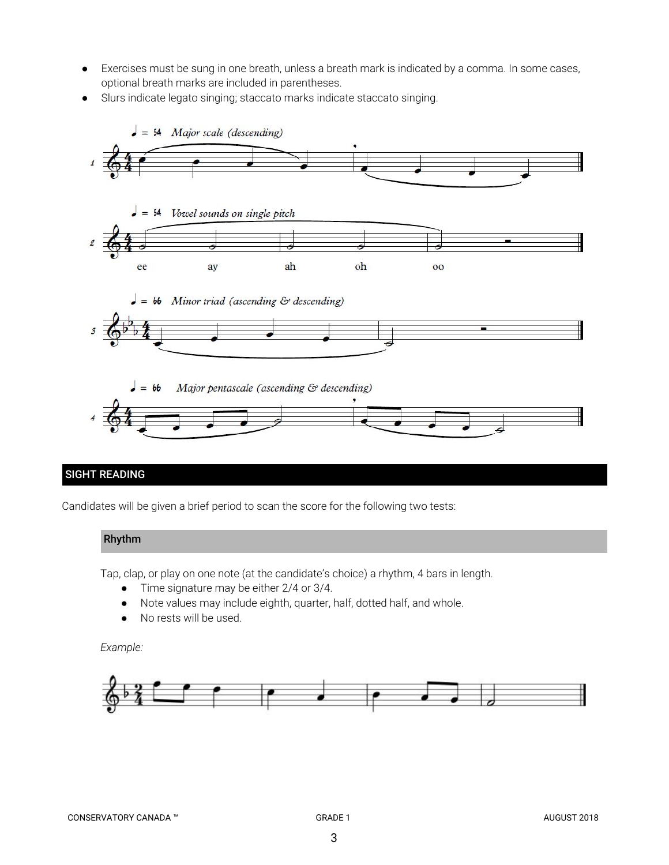- Exercises must be sung in one breath, unless a breath mark is indicated by a comma. In some cases, optional breath marks are included in parentheses.
- Slurs indicate legato singing; staccato marks indicate staccato singing.



# SIGHT READING

Candidates will be given a brief period to scan the score for the following two tests:

#### Rhythm

Tap, clap, or play on one note (at the candidate's choice) a rhythm, 4 bars in length.

- Time signature may be either 2/4 or 3/4.
- Note values may include eighth, quarter, half, dotted half, and whole.
- No rests will be used.

*Example:*

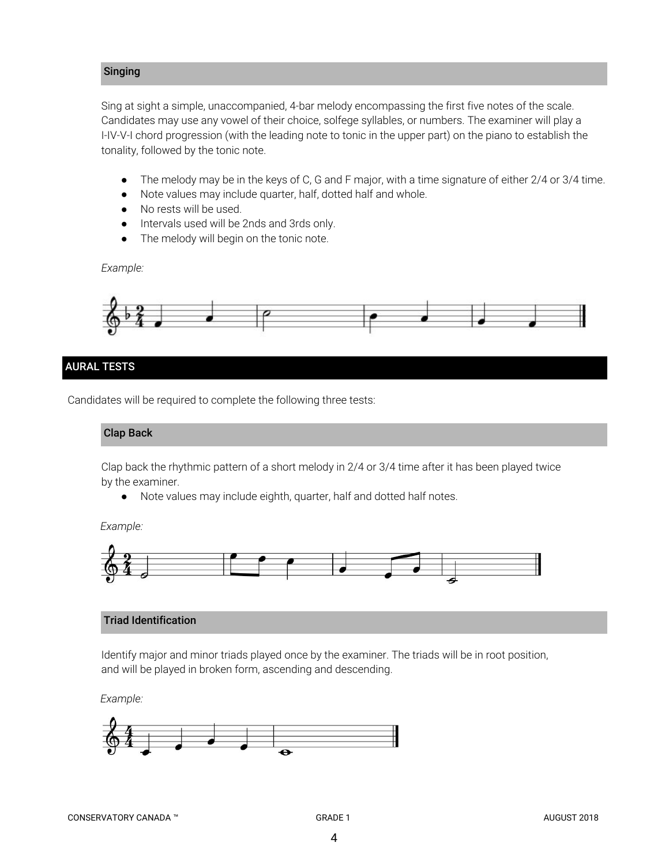#### Singing

Sing at sight a simple, unaccompanied, 4-bar melody encompassing the first five notes of the scale. Candidates may use any vowel of their choice, solfege syllables, or numbers. The examiner will play a I-IV-V-I chord progression (with the leading note to tonic in the upper part) on the piano to establish the tonality, followed by the tonic note.

- *●* The melody may be in the keys of C, G and F major, with a time signature of either 2/4 or 3/4 time.
- Note values may include quarter, half, dotted half and whole.
- No rests will be used.
- Intervals used will be 2nds and 3rds only.
- The melody will begin on the tonic note.

*Example:*



#### AURAL TESTS

Candidates will be required to complete the following three tests:

#### Clap Back

Clap back the rhythmic pattern of a short melody in 2/4 or 3/4 time after it has been played twice by the examiner.

● Note values may include eighth, quarter, half and dotted half notes.

*Example:*



#### Triad Identification

Identify major and minor triads played once by the examiner. The triads will be in root position, and will be played in broken form, ascending and descending.

*Example:*

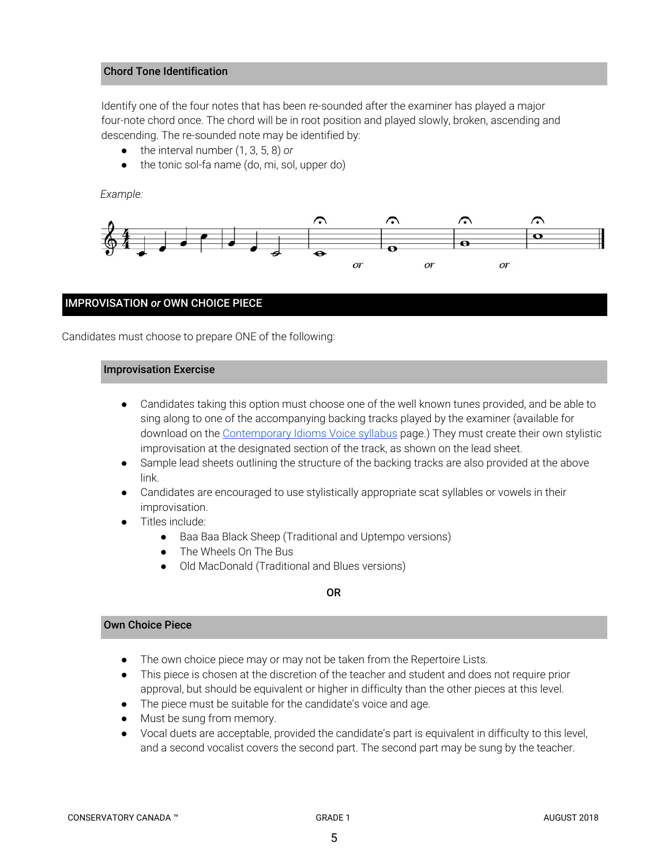#### Chord Tone Identification

Identify one of the four notes that has been re-sounded after the examiner has played a major four-note chord once. The chord will be in root position and played slowly, broken, ascending and descending. The re-sounded note may be identified by:

- the interval number (1, 3, 5, 8) *or*
- the tonic sol-fa name (do, mi, sol, upper do)

*Example:*



#### IMPROVISATION *or* OWN CHOICE PIECE

Candidates must choose to prepare ONE of the following:

#### Improvisation Exercise

- Candidates taking this option must choose one of the well known tunes provided, and be able to sing along to one of the accompanying backing tracks played by the examiner (available for download on the [Contemporary](https://conservatorycanada.ca/syllabi/contemporary-voice/) Idioms Voice syllabus page.) They must create their own stylistic improvisation at the designated section of the track, as shown on the lead sheet.
- Sample lead sheets outlining the structure of the backing tracks are also provided at the above link.
- Candidates are encouraged to use stylistically appropriate scat syllables or vowels in their improvisation.
- Titles include:
	- Baa Baa Black Sheep (Traditional and Uptempo versions)
	- The Wheels On The Bus
	- Old MacDonald (Traditional and Blues versions)

#### OR

#### Own Choice Piece

- The own choice piece may or may not be taken from the Repertoire Lists.
- This piece is chosen at the discretion of the teacher and student and does not require prior approval, but should be equivalent or higher in difficulty than the other pieces at this level.
- The piece must be suitable for the candidate's voice and age.
- Must be sung from memory.
- Vocal duets are acceptable, provided the candidate's part is equivalent in difficulty to this level, and a second vocalist covers the second part. The second part may be sung by the teacher.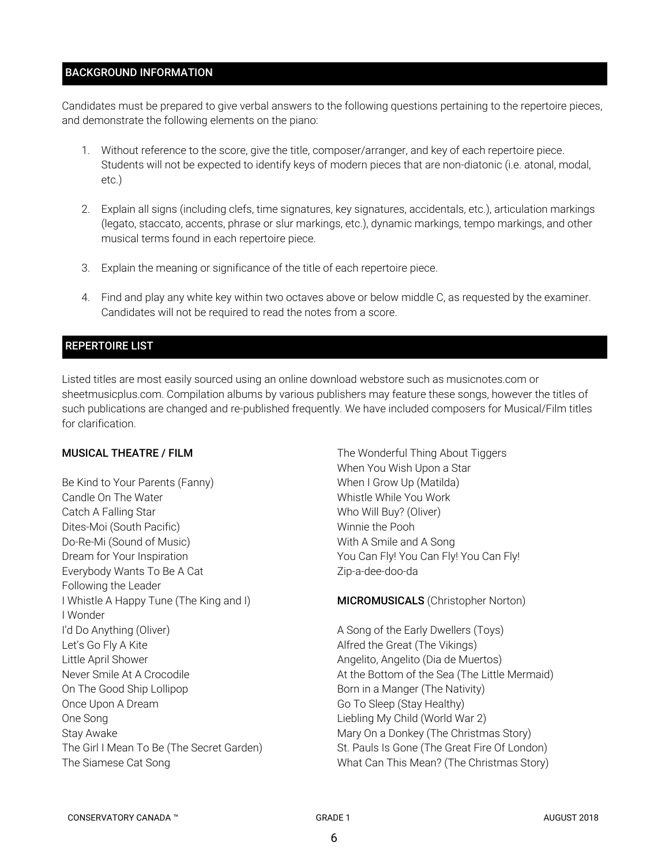#### BACKGROUND INFORMATION

Candidates must be prepared to give verbal answers to the following questions pertaining to the repertoire pieces, and demonstrate the following elements on the piano:

- 1. Without reference to the score, give the title, composer/arranger, and key of each repertoire piece. Students will not be expected to identify keys of modern pieces that are non-diatonic (i.e. atonal, modal, etc.)
- 2. Explain all signs (including clefs, time signatures, key signatures, accidentals, etc.), articulation markings (legato, staccato, accents, phrase or slur markings, etc.), dynamic markings, tempo markings, and other musical terms found in each repertoire piece.
- 3. Explain the meaning or significance of the title of each repertoire piece.
- 4. Find and play any white key within two octaves above or below middle C, as requested by the examiner. Candidates will not be required to read the notes from a score.

#### REPERTOIRE LIST

Listed titles are most easily sourced using an online download webstore such as musicnotes.com or sheetmusicplus.com. Compilation albums by various publishers may feature these songs, however the titles of such publications are changed and re-published frequently. We have included composers for Musical/Film titles for clarification.

#### MUSICAL THEATRE / FILM

Be Kind to Your Parents (Fanny) Candle On The Water Catch A Falling Star Dites-Moi (South Pacific) Do-Re-Mi (Sound of Music) Dream for Your Inspiration Everybody Wants To Be A Cat Following the Leader I Whistle A Happy Tune (The King and I) I Wonder I'd Do Anything (Oliver) Let's Go Fly A Kite Little April Shower Never Smile At A Crocodile On The Good Ship Lollipop Once Upon A Dream One Song Stay Awake The Girl I Mean To Be (The Secret Garden) The Siamese Cat Song

The Wonderful Thing About Tiggers When You Wish Upon a Star When I Grow Up (Matilda) Whistle While You Work Who Will Buy? (Oliver) Winnie the Pooh With A Smile and A Song You Can Fly! You Can Fly! You Can Fly! Zip-a-dee-doo-da

#### MICROMUSICALS (Christopher Norton)

A Song of the Early Dwellers (Toys) Alfred the Great (The Vikings) Angelito, Angelito (Dia de Muertos) At the Bottom of the Sea (The Little Mermaid) Born in a Manger (The Nativity) Go To Sleep (Stay Healthy) Liebling My Child (World War 2) Mary On a Donkey (The Christmas Story) St. Pauls Is Gone (The Great Fire Of London) What Can This Mean? (The Christmas Story)